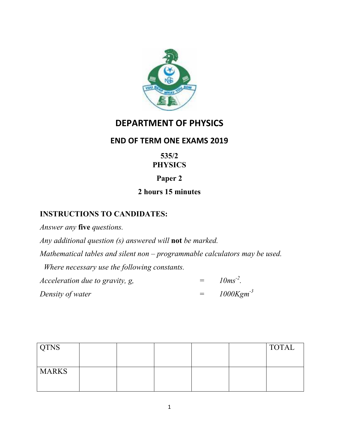

# **DEPARTMENT OF PHYSICS**

## **END OF TERM ONE EXAMS 2019**

## **535/2 PHYSICS**

# **Paper 2**

# **2 hours 15 minutes**

## **INSTRUCTIONS TO CANDIDATES:**

*Answer any* **five** *questions.* 

*Any additional question (s) answered will* **not** *be marked.* 

*Mathematical tables and silent non – programmable calculators may be used.* 

 *Where necessary use the following constants.* 

*Acceleration due to gravity, g,*  $=$   $10ms^{-2}$ . *Density of water*  $=$   $1000Kgm<sup>-3</sup>$ 

| <b>QTNS</b>  |  |  | <b>TOTAL</b> |
|--------------|--|--|--------------|
|              |  |  |              |
| <b>MARKS</b> |  |  |              |
|              |  |  |              |
|              |  |  |              |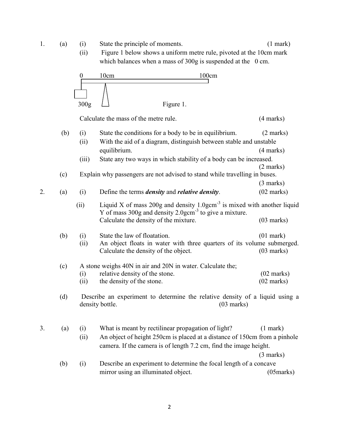1. (a) (i) State the principle of moments. (1 mark)

(ii) Figure 1 below shows a uniform metre rule, pivoted at the 10cm mark which balances when a mass of 300g is suspended at the 0 cm.



Calculate the mass of the metre rule. (4 marks)

|    | (b) | (i)   | State the conditions for a body to be in equilibrium.                                                                                                | $(2 \text{ marks})$  |  |  |
|----|-----|-------|------------------------------------------------------------------------------------------------------------------------------------------------------|----------------------|--|--|
|    |     | (ii)  | With the aid of a diagram, distinguish between stable and unstable                                                                                   |                      |  |  |
|    |     |       | equilibrium.                                                                                                                                         | $(4$ marks)          |  |  |
|    |     | (iii) | State any two ways in which stability of a body can be increased.                                                                                    |                      |  |  |
|    |     |       |                                                                                                                                                      | $(2 \text{ marks})$  |  |  |
|    | (c) |       | Explain why passengers are not advised to stand while travelling in buses.                                                                           |                      |  |  |
|    |     |       |                                                                                                                                                      | $(3 \text{ marks})$  |  |  |
| 2. | (a) | (i)   | Define the terms <i>density</i> and <i>relative density</i> .                                                                                        | $(02 \text{ marks})$ |  |  |
|    |     | (ii)  | Liquid X of mass 200g and density $1.0$ gcm <sup>-3</sup> is mixed with another liquid<br>Y of mass $300g$ and density $2.0gcm-3$ to give a mixture. |                      |  |  |
|    |     |       | Calculate the density of the mixture.                                                                                                                | $(03$ marks)         |  |  |
|    | (b) | (i)   | State the law of floatation.                                                                                                                         | $(01$ mark)          |  |  |
|    |     | (ii)  | An object floats in water with three quarters of its volume submerged.<br>Calculate the density of the object.                                       | $(03$ marks)         |  |  |
|    | (c) |       | A stone weighs 40N in air and 20N in water. Calculate the;                                                                                           |                      |  |  |
|    |     | (i)   | relative density of the stone.                                                                                                                       | $(02 \text{ marks})$ |  |  |
|    |     | (ii)  | the density of the stone.                                                                                                                            | $(02 \text{ marks})$ |  |  |
|    | (d) |       | Describe an experiment to determine the relative density of a liquid using a<br>density bottle.<br>$(03$ marks)                                      |                      |  |  |
|    |     |       |                                                                                                                                                      |                      |  |  |
| 3. | (a) | (i)   | What is meant by rectilinear propagation of light?                                                                                                   | $(1$ mark)           |  |  |
|    |     | (ii)  | An object of height 250cm is placed at a distance of 150cm from a pinhole                                                                            |                      |  |  |
|    |     |       | camera. If the camera is of length 7.2 cm, find the image height.                                                                                    |                      |  |  |
|    |     |       |                                                                                                                                                      | $(3 \text{ marks})$  |  |  |
|    | (b) | (i)   | Describe an experiment to determine the focal length of a concave                                                                                    |                      |  |  |
|    |     |       | mirror using an illuminated object.                                                                                                                  | (05 marks)           |  |  |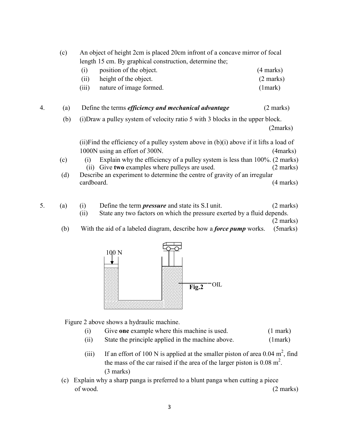|     | (c) | An object of height 2cm is placed 20cm infront of a concave mirror of focal                     |                     |  |  |  |
|-----|-----|-------------------------------------------------------------------------------------------------|---------------------|--|--|--|
|     |     | length 15 cm. By graphical construction, determine the;<br>position of the object.<br>(i)       | (4 marks)           |  |  |  |
|     |     | height of the object.<br>(ii)                                                                   | $(2 \text{ marks})$ |  |  |  |
|     |     | (iii)<br>nature of image formed.                                                                | (1 mark)            |  |  |  |
| 4.  | (a) | Define the terms <i>efficiency and mechanical advantage</i>                                     | $(2 \text{ marks})$ |  |  |  |
| (b) |     | (i) Draw a pulley system of velocity ratio 5 with 3 blocks in the upper block.                  |                     |  |  |  |
|     |     |                                                                                                 | (2marks)            |  |  |  |
|     |     | (ii) Find the efficiency of a pulley system above in $(b)(i)$ above if it lifts a load of       |                     |  |  |  |
|     |     | 1000N using an effort of 300N.                                                                  | (4marks)            |  |  |  |
|     | (c) | Explain why the efficiency of a pulley system is less than 100%. (2 marks)<br>$\left( i\right)$ |                     |  |  |  |
|     |     | Give two examples where pulleys are used.<br>(11)                                               | (2 marks)           |  |  |  |
| (d) |     | Describe an experiment to determine the centre of gravity of an irregular                       |                     |  |  |  |
|     |     | cardboard.                                                                                      | (4 marks)           |  |  |  |
|     |     |                                                                                                 |                     |  |  |  |
|     |     |                                                                                                 |                     |  |  |  |

- 5. (a) (i) Define the term *pressure* and state its S.I unit. (2 marks) (ii) State any two factors on which the pressure exerted by a fluid depends. (2 marks)
	- (b) With the aid of a labeled diagram, describe how a *force pump* works. (5marks)



Figure 2 above shows a hydraulic machine.

- (i) Give **one** example where this machine is used. (1 mark)
- (ii) State the principle applied in the machine above. (1mark)
- (iii) If an effort of 100 N is applied at the smaller piston of area 0.04  $m^2$ , find the mass of the car raised if the area of the larger piston is  $0.08 \text{ m}^2$ . (3 marks)
- (c) Explain why a sharp panga is preferred to a blunt panga when cutting a piece of wood. (2 marks)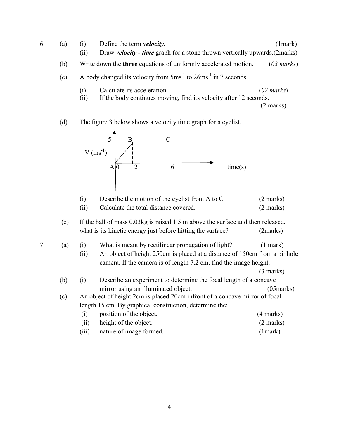- 6. (a) (i) Define the term v*elocity.* (1mark) (ii) Draw *velocity - time* graph for a stone thrown vertically upwards.(2marks) (b) Write down the **three** equations of uniformly accelerated motion. (*03 marks*) (c) A body changed its velocity from  $5 \text{ms}^{-1}$  to  $26 \text{ms}^{-1}$  in 7 seconds. (i) Calculate its acceleration. (*02 marks*) (ii) If the body continues moving, find its velocity after 12 seconds.
- (2 marks)
	- (d) The figure 3 below shows a velocity time graph for a cyclist.



|    |     | (i)                                                               | Describe the motion of the cyclist from A to C                                  | $(2 \text{ marks})$ |  |
|----|-----|-------------------------------------------------------------------|---------------------------------------------------------------------------------|---------------------|--|
|    |     | (ii)                                                              | Calculate the total distance covered.                                           | $(2 \text{ marks})$ |  |
|    | (e) |                                                                   | If the ball of mass 0.03kg is raised 1.5 m above the surface and then released, |                     |  |
|    |     |                                                                   | what is its kinetic energy just before hitting the surface?                     | (2marks)            |  |
| 7. | (a) | (i)                                                               | What is meant by rectilinear propagation of light?                              | $(1$ mark)          |  |
|    |     | (ii)                                                              | An object of height 250cm is placed at a distance of 150cm from a pinhole       |                     |  |
|    |     | camera. If the camera is of length 7.2 cm, find the image height. |                                                                                 |                     |  |
|    |     |                                                                   |                                                                                 | $(3 \text{ marks})$ |  |
|    | (b) | (i)                                                               | Describe an experiment to determine the focal length of a concave               |                     |  |
|    |     |                                                                   | mirror using an illuminated object.                                             | $(05$ marks $)$     |  |
|    | (c) |                                                                   | An object of height 2cm is placed 20cm infront of a concave mirror of focal     |                     |  |
|    |     |                                                                   | length 15 cm. By graphical construction, determine the;                         |                     |  |
|    |     | (i)                                                               | position of the object.                                                         | $(4 \text{ marks})$ |  |
|    |     | (ii)                                                              | height of the object.                                                           | $(2 \text{ marks})$ |  |
|    |     | (iii)                                                             | nature of image formed.                                                         | (1 mark)            |  |
|    |     |                                                                   |                                                                                 |                     |  |